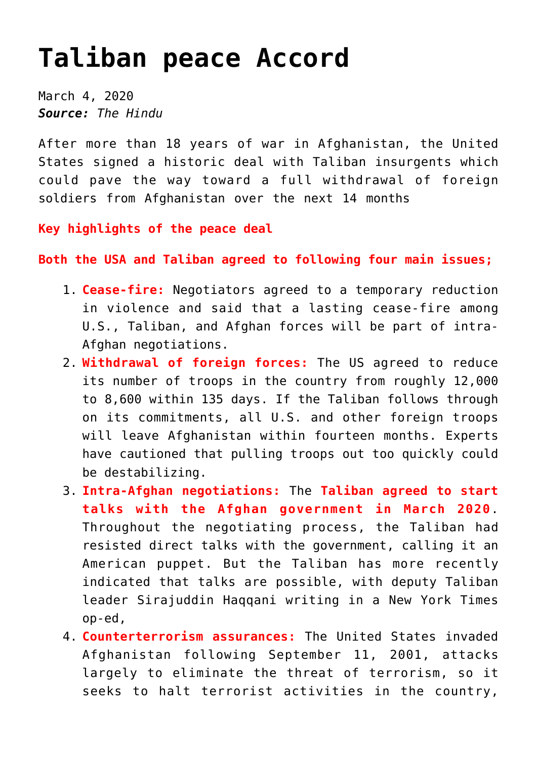## **[Taliban peace Accord](https://journalsofindia.com/taliban-peace-accord/)**

March 4, 2020 *Source: The Hindu*

After more than 18 years of war in Afghanistan, the United States signed a historic deal with Taliban insurgents which could pave the way toward a full withdrawal of foreign soldiers from Afghanistan over the next 14 months

**Key highlights of the peace deal**

**Both the USA and Taliban agreed to following four main issues;**

- 1. **Cease-fire:** Negotiators agreed to a temporary reduction in violence and said that a lasting cease-fire among U.S., Taliban, and Afghan forces will be part of intra-Afghan negotiations.
- 2. **Withdrawal of foreign forces:** The US agreed to reduce its number of troops in the country from roughly 12,000 to 8,600 within 135 days. If the Taliban follows through on its commitments, all U.S. and other foreign troops will leave Afghanistan within fourteen months. Experts have cautioned that pulling troops out too quickly could be destabilizing.
- 3. **Intra-Afghan negotiations:** The **Taliban agreed to start talks with the Afghan government in March 2020**. Throughout the negotiating process, the Taliban had resisted direct talks with the government, calling it an American puppet. But the Taliban has more recently indicated that talks are possible, with deputy Taliban leader Sirajuddin Haqqani writing in a New York Times op-ed,
- 4. **Counterterrorism assurances:** The United States invaded Afghanistan following September 11, 2001, attacks largely to eliminate the threat of terrorism, so it seeks to halt terrorist activities in the country,